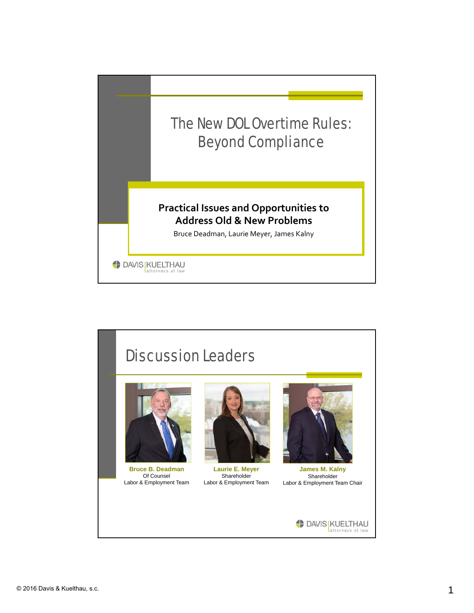

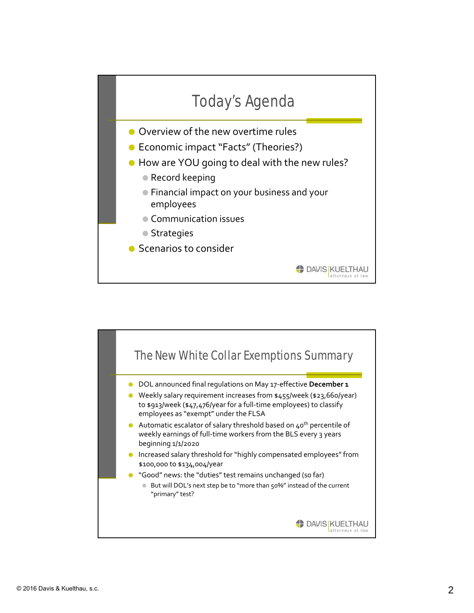

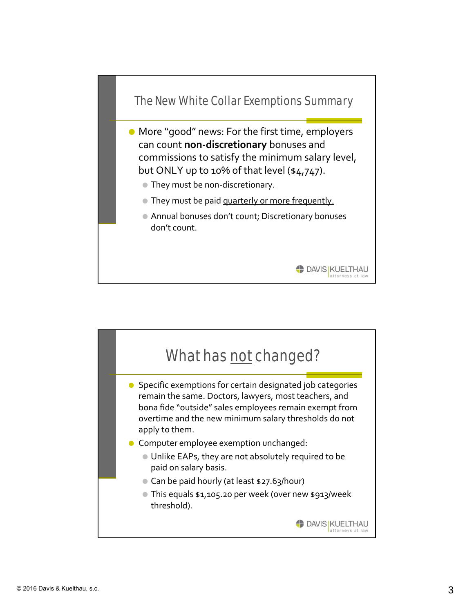

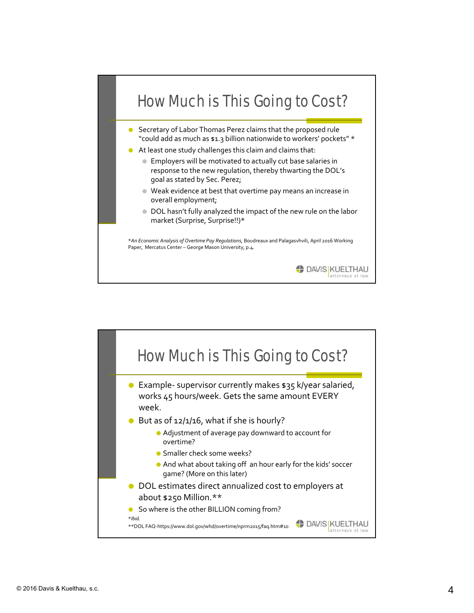

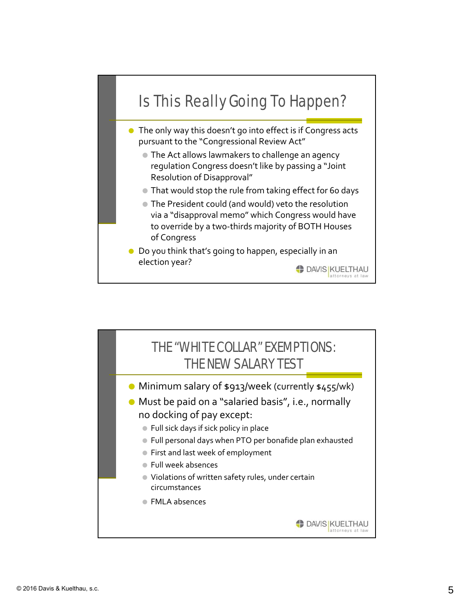

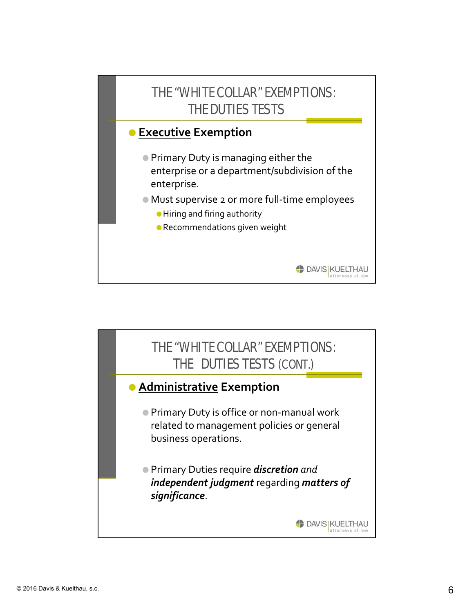

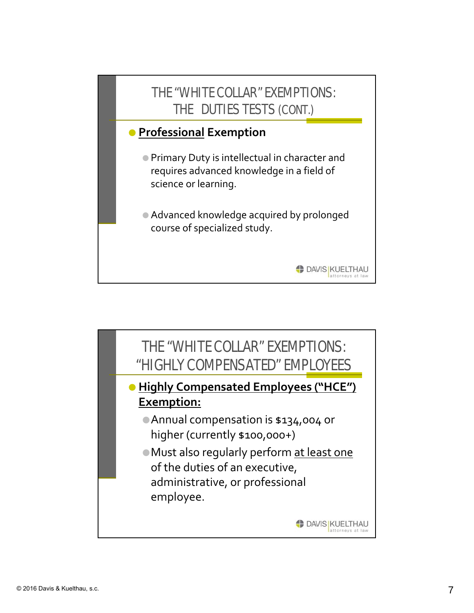

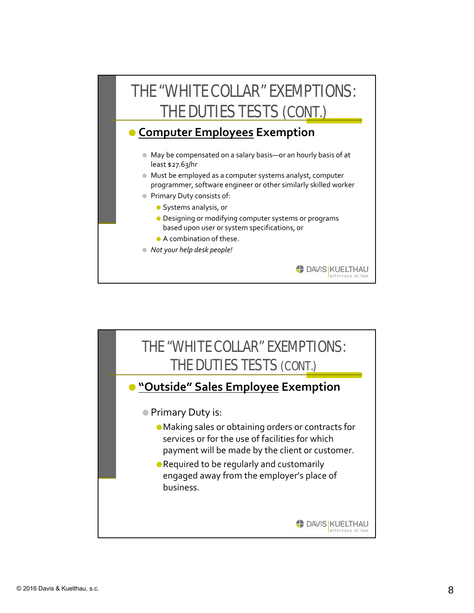

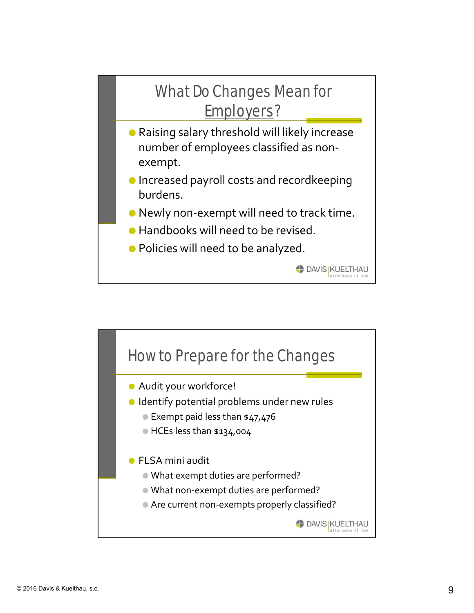

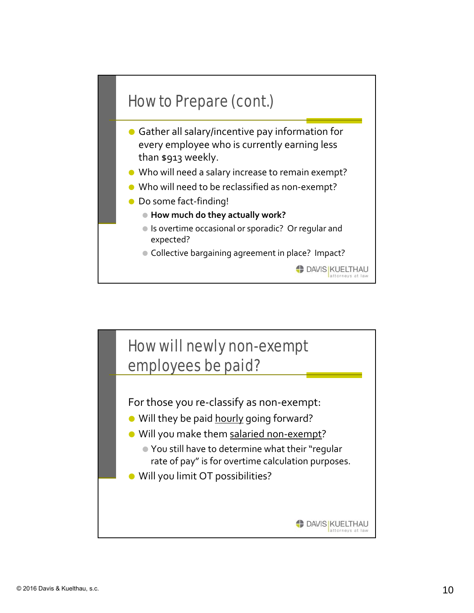

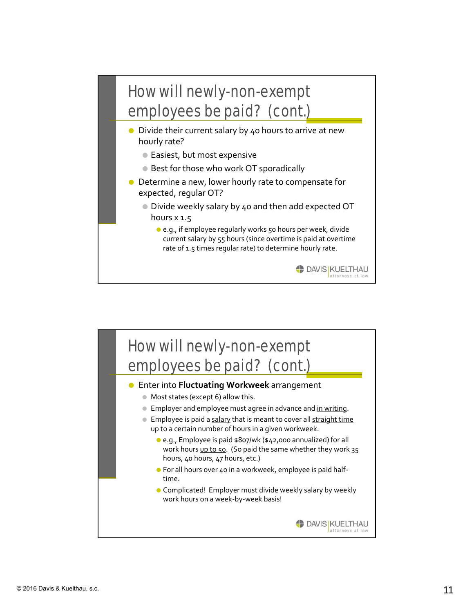

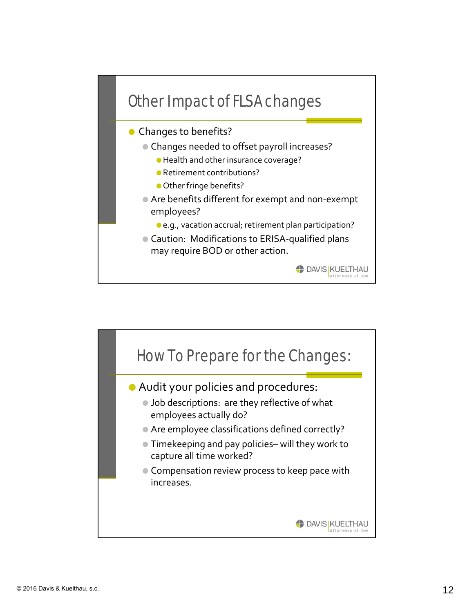

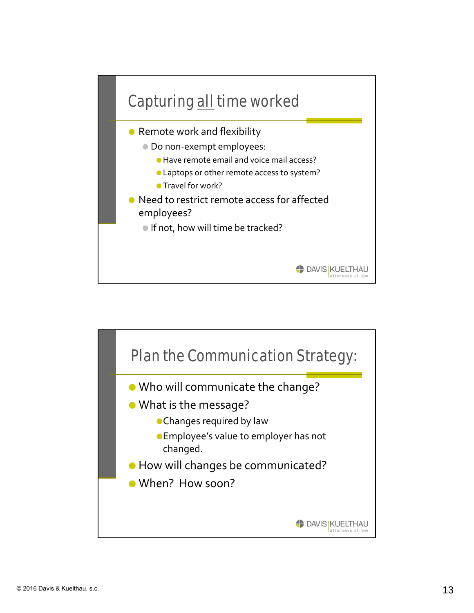

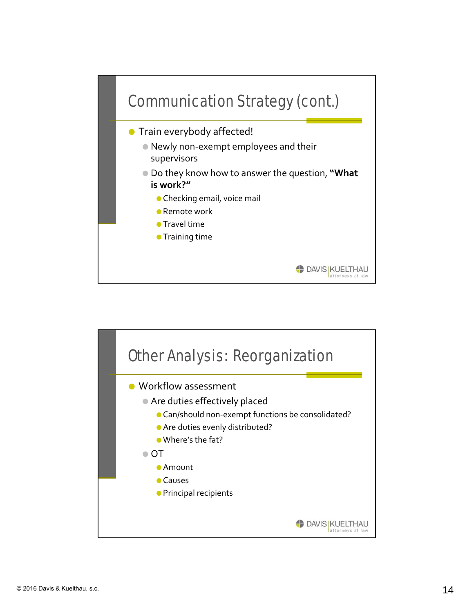

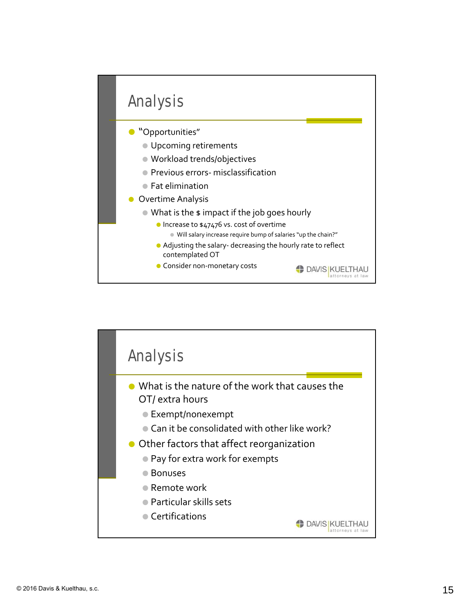

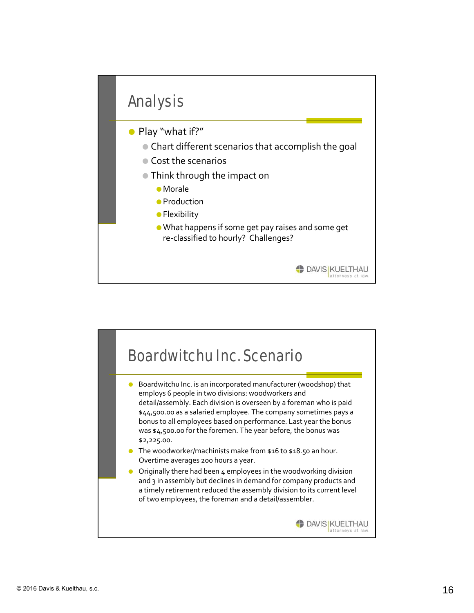

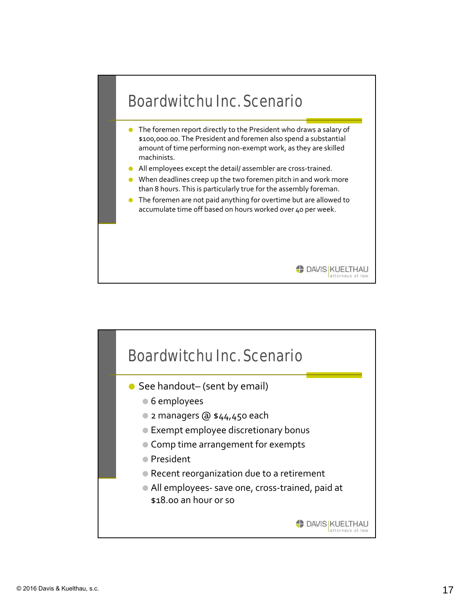

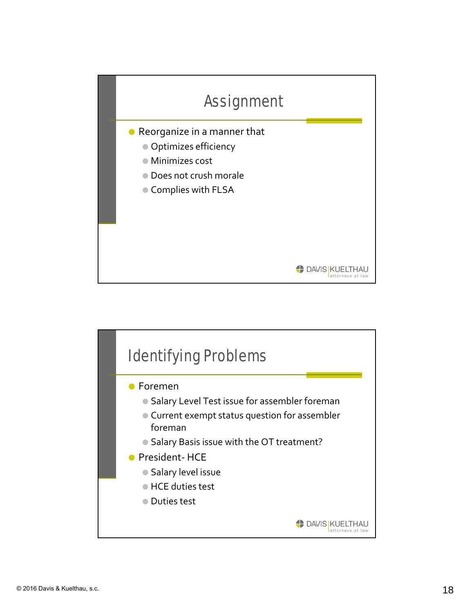

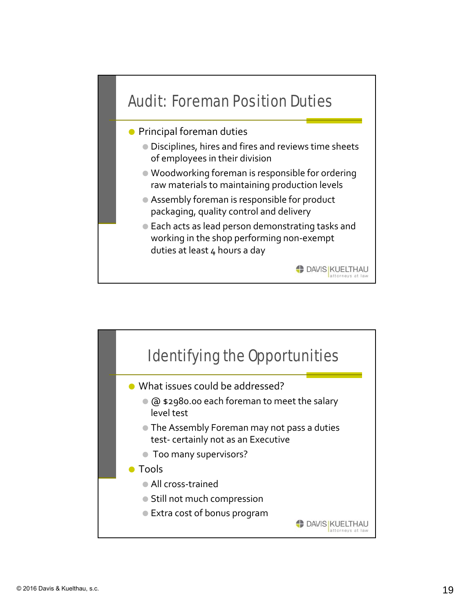

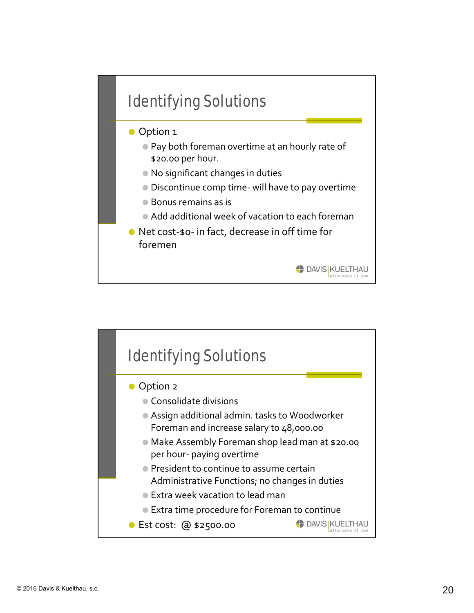